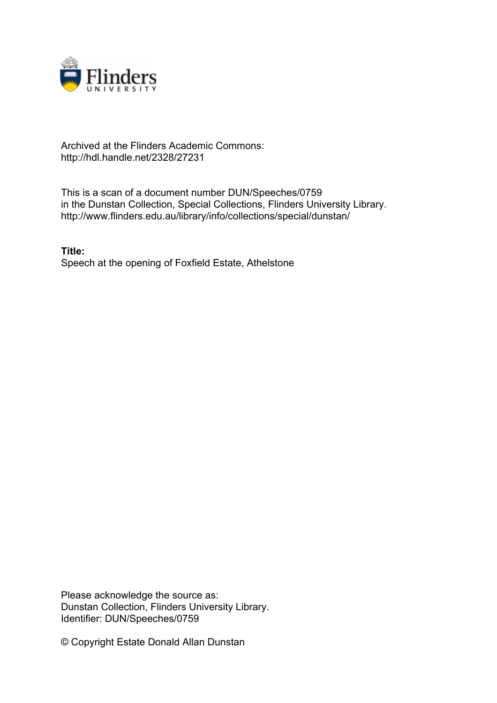

## Archived at the Flinders Academic Commons: http://hdl.handle.net/2328/27231

This is a scan of a document number DUN/Speeches/0759 in the Dunstan Collection, Special Collections, Flinders University Library. http://www.flinders.edu.au/library/info/collections/special/dunstan/

**Title:** Speech at the opening of Foxfield Estate, Athelstone

Please acknowledge the source as: Dunstan Collection, Flinders University Library. Identifier: DUN/Speeches/0759

© Copyright Estate Donald Allan Dunstan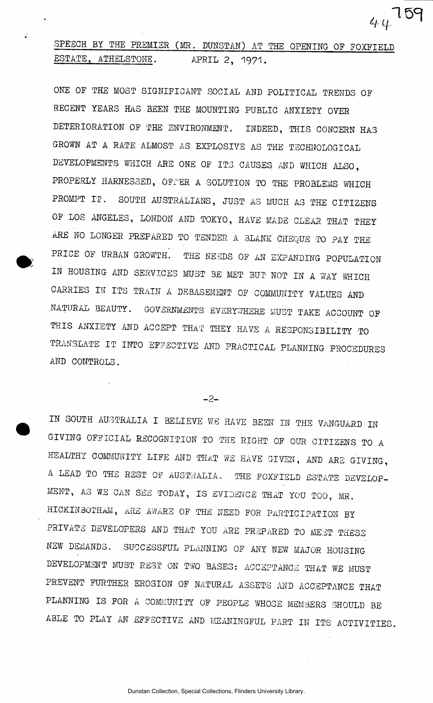## SPEECH BY THE PREMIER (MR. DUNSTAN) AT THE OPENING OF FOXFIELD ESTATE, ATHELSTONE. APRIL 2, 1971.

<sup>4</sup> *H* 

ONE OP THE MOST SIGNIFICANT SOCIAL AND POLITICAL TRENDS OF RECENT YEARS HAS BEEN THE MOUNTING PUBLIC ANXIETY OVER DETERIORATION OF THE ENVIRONMENT. INDEED, THIS CONCERN HAS GROWN AT A RATE ALMOST AS EXPLOSIVE AS THE TECHNOLOGICAL DEVELOPMENTS WHICH ARE ONE OF ITS CAUSES AND WHICH ALSO, PROPERLY HARNESSED, OFFER A SOLUTION TO THE PROBLEMS WHICH PROMPT IT. SOUTH AUSTRALIANS, JUST AS MUCH AS THE CITIZENS OF LOS ANGELES, LONDON AND TOKYO, HAVE MADE CLEAR THAT THEY ARE NO LONGER PREPARED TO TENDER A BLANK CHEQUE TO PAY THE PRICE OF URBAN GROWTH. THE NEEDS OF AN EXPANDING POPULATION IN HOUSING AND SERVICES MUST BE MET BUT NOT IN A WAY WHICH CARRIES IN ITS TRAIN A DEBASEMENT OF COMMUNITY VALUES AND NATURAL BEAUTY. GOVERNMENTS EVERYWHERE MUST TAKE ACCOUNT OF THIS ANXIETY AND ACCEPT THAT THEY HAVE A RESPONSIBILITY TO TRANSLATE IT INTO EFFECTIVE AND PRACTICAL PLANNING PROCEDURES AND CONTROLS.

 $-2-$ 

IN SOUTH AUSTRALIA I BELIEVE WE HAVE BEEN IN THE VANGUARD IN GIVING OFFICIAL RECOGNITION TO THE RIGHT OF OUR CITIZENS TO A HEALTHY COMMUNITY LIFE AND THAT WE HAVE GIVEN, AND ARE GIVING, A LEAD TO THE REST OF AUSTRALIA. THE FOXFIELD ESTATE DEVELOP-MENT, A3 WE CAN SEE TODAY, IS EVIDENCE THAT YOU TOO, MR. HICKIN30THAM, MLE AWARE OF THE NEED FOR PARTICIPATION BY PRIVATE DEVELOPERS AND THAT YOU ARE PREPARED TO MEET THESE NSW DEMANDS. SUCCESSFUL PLANNING OF ANY NEW MAJOR HOUSING DEVELOPMENT MUST REST ON TWO BASES: ACCEPTANCE THAT WE MUST PREVENT FURTHER EROSION OF NATURAL ASSETS AND ACCEPTANCE THAT PLANNING IS FOR A COMMUNITY OF PEOPLE WHOSE MEMBERS SHOULD BE ABLE TO PLAY AN EFFECTIVE AND MEANINGFUL PART IN ITS ACTIVITIES.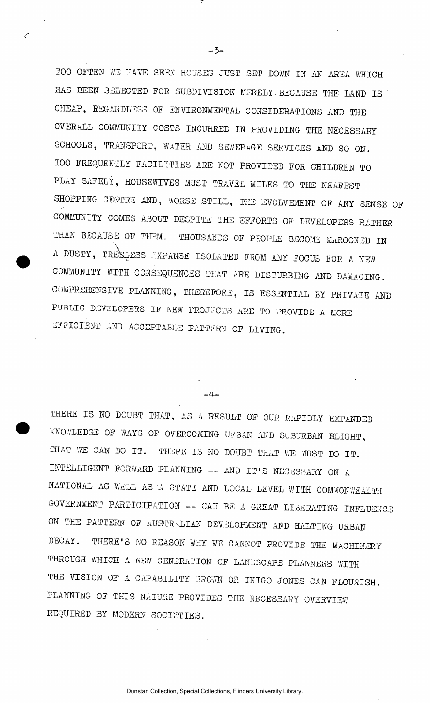TOO OFTEN WE HAVE SEEN HOUSES JUST SET DOWN IN AN AREA WHICH .HAS BEEN SELECTED FOR SUBDIVISION MERELY. BECAUSE THE LAND IS ' CHEAP, REGARDLESS OF ENVIRONMENTAL CONSIDERATIONS AND THE OVERALL COMMUNITY COSTS INCURRED IN PROVIDING THE NECESSARY SCHOOLS, TRANSPORT, WATER AND SEWERAGE SERVICES AND SO ON. TOO FREQUENTLY FACILITIES ARE NOT PROVIDED FOR CHILDREN TO PLAY SAFELY, HOUSEWIVES MUST TRAVEL MILES TO THE NEAREST SHOPPING CENTRE AND, WORSE STILL, THE EVOLVEMENT OF ANY SENSE OF COMMUNITY COMES ABOUT DESPITE THE EFFORTS OF DEVELOPERS RATHER THAN BECAUSE OF THEM. THOUSANDS OF PEOPLE BECOME MAROONED IN A DUSTY, TREELESS EXPANSE ISOLATED FROM ANY FOCUS FOR A NEW COMMUNITY WITH CONSEQUENCES THAT ARE DISTURBING AND DAMAGING. COMPREHENSIVE PLANNING, THEREFORE, IS ESSENTIAL BY PRIVATE AND PUBLIC DEVELOPERS IF NEW PROJECTS ARE TO PROVIDE A MORE EFFICIENT aND ACCEPTABLE PATTERN OF LIVING.

 $-3-$ 

 $\epsilon$ 

 $-4-$ 

THERE IS NO DOUBT THAT, AS A RESULT OF OUR RAPIDLY EXPANDED KNOWLEDGE OF WAYS OF OVERCOMING URBAN AND SUBURBAN BLIGHT, THAT WE CAN DO IT. THERE IS NO DOUBT THAT WE MUST DO IT. INTELLIGENT FORWARD PLANNING — AND IT'S NECESSARY ON A NATIONAL AS WELL AS A STATE AND LOCAL LEVEL WITH COMMONWEALTH GOVERNMENT PARTICIPATION -- CAN BE A GREAT LIBERATING INFLUENCE ON THE PATTERN OF AUSTRIAN DEVELOPMENT AND HALTING URBAN DECAY. THERE'S NO REASON WHY WE CANNOT PROVIDE THE MACHINERY THROUGH WHICH A NEW GENERATION OF LANDSCAPE PLANNERS WITH THE VISION OF A CAPABILITY BROWN OR INIGO JONES CAN FLOURISH. PLANNING OF THIS NATURE PROVIDES THE NECESSARY OVERVIEW REQUIRED BY MODERN SOCIETIES.

Dunstan Collection, Special Collections, Flinders University Library.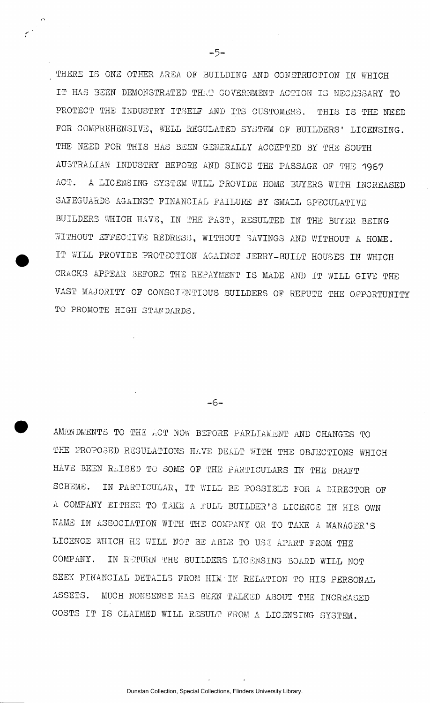THERE IS ONE OTHER IREA OF BUILDING AND CONSTRUCTION IN WHICH IT HAS BEEN DEMONSTRATED THAT GOVERNMENT ACTION IS NECESSARY TO PROTECT THE INDUSTRY ITSELF AND ITS CUSTOMERS. THIS IS THE NEED FOR COMPREHENSIVE, WELL REGULATED SYSTEM OF BUILDERS' LICENSING. THE NEED FOR THIS HAS BEEN GENERALLY ACCEPTED BY THE SOUTH AUSTRALIAN INDUSTRY BEFORE AND SINCE THE PASSAGE OF THE 1967 ACT. A LICENSING SYSTEM WILL PROVIDE HOME BUYERS WITH INCREASED SAFEGUARDS AGAINST FINANCIAL FAILURE BY SMALL SPECULATIVE BUILDERS WHICH HAVE, IN THE PAST, RESULTED IN THE BUYER BEING WITHOUT EFFECTIVE REDRESS, WITHOUT SAVINGS AND WITHOUT A HOME. IT WILL PROVIDE PROTECTION AGAINST JERRY-BUILT HOUSES IN WHICH CRACKS APPEAR BEFORE THE REPAYMENT IS MADE AND IT WILL GIVE THE VAST MAJORITY OF CONSCIENTIOUS BUILDERS OF REPUTE THE OPPORTUNITY TO PROMOTE HIGH STANDARDS.

 $-6-$ 

AMENDMENTS TO THE LCT NOW BEFORE PARLIAMENT AND CHANGES TO THE PROPOSED REGULATIONS HAVE DEALT WITH THE OBJECTIONS WHICH HAVE BEEN RAISED TO SOME OF THE PARTICULARS IN THE DRAFT SCHEME. IN PARTICULAR, IT WILL BE POSSIBLE FOR A DIRECTOR OF A COMPANY EITHER TO TAKE A FULL BUILDER'S LICENCE IN HIS OWN NAME IN ASSOCIATION WITH THE COMPANY OR TO TAKE A MANAGER'S LICENCE WHICH HE WILL NOT BE ABLE TO USE APART FROM THE COMPANY. IN RETURN THE BUILDERS LICENSING BOARD WILL NOT SEEK FINANCIAL DETAILS FROM HIM'IN RELATION TO HIS PERSONAL ASSETS. MUCH NONSENSE HAS SEEN TALKED ABOUT THE INCREASED COSTS IT IS CLAIMED WILL RESULT FROM A LICENSING SYSTEM.

 $-5-$